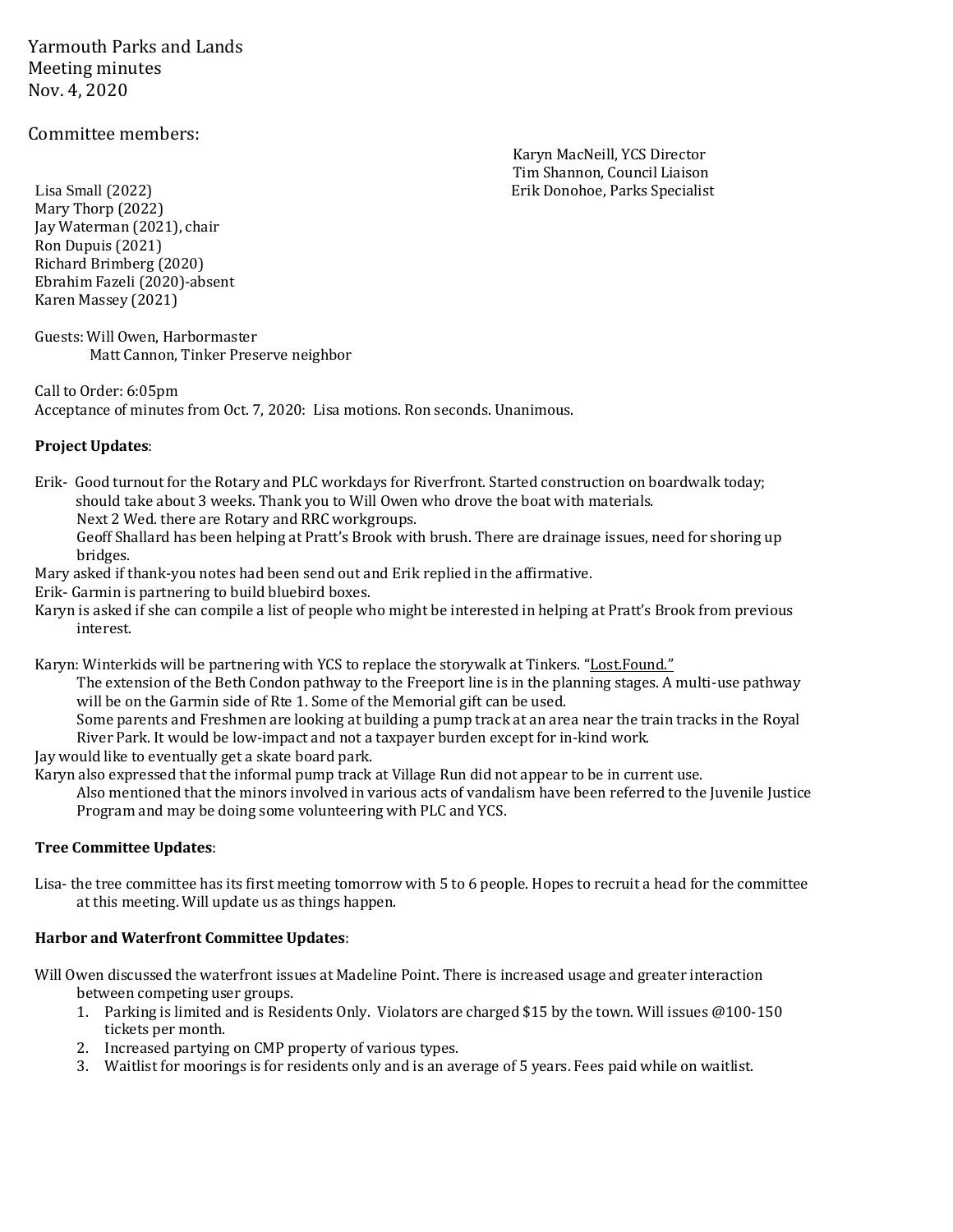Yarmouth Parks and Lands Meeting minutes Nov. 4, 2020

# Committee members:

Karyn MacNeill, YCS Director Tim Shannon, Council Liaison

Lisa Small (2022) Erik Donohoe, Parks Specialist Mary Thorp (2022) Jay Waterman (2021), chair Ron Dupuis (2021) Richard Brimberg (2020) Ebrahim Fazeli (2020)-absent Karen Massey (2021)

Guests: Will Owen, Harbormaster Matt Cannon, Tinker Preserve neighbor

Call to Order: 6:05pm Acceptance of minutes from Oct. 7, 2020: Lisa motions. Ron seconds. Unanimous.

#### **Project Updates**:

Erik- Good turnout for the Rotary and PLC workdays for Riverfront. Started construction on boardwalk today; should take about 3 weeks. Thank you to Will Owen who drove the boat with materials.

Next 2 Wed. there are Rotary and RRC workgroups.

Geoff Shallard has been helping at Pratt's Brook with brush. There are drainage issues, need for shoring up bridges.

Mary asked if thank-you notes had been send out and Erik replied in the affirmative.

Erik- Garmin is partnering to build bluebird boxes.

Karyn is asked if she can compile a list of people who might be interested in helping at Pratt's Brook from previous interest.

Karyn: Winterkids will be partnering with YCS to replace the storywalk at Tinkers. "Lost.Found."

The extension of the Beth Condon pathway to the Freeport line is in the planning stages. A multi-use pathway will be on the Garmin side of Rte 1. Some of the Memorial gift can be used.

Some parents and Freshmen are looking at building a pump track at an area near the train tracks in the Royal River Park. It would be low-impact and not a taxpayer burden except for in-kind work.

Jay would like to eventually get a skate board park.

Karyn also expressed that the informal pump track at Village Run did not appear to be in current use.

Also mentioned that the minors involved in various acts of vandalism have been referred to the Juvenile Justice Program and may be doing some volunteering with PLC and YCS.

## **Tree Committee Updates**:

Lisa- the tree committee has its first meeting tomorrow with 5 to 6 people. Hopes to recruit a head for the committee at this meeting. Will update us as things happen.

#### **Harbor and Waterfront Committee Updates**:

Will Owen discussed the waterfront issues at Madeline Point. There is increased usage and greater interaction between competing user groups.

- 1. Parking is limited and is Residents Only. Violators are charged \$15 by the town. Will issues @100-150 tickets per month.
- 2. Increased partying on CMP property of various types.
- 3. Waitlist for moorings is for residents only and is an average of 5 years. Fees paid while on waitlist.